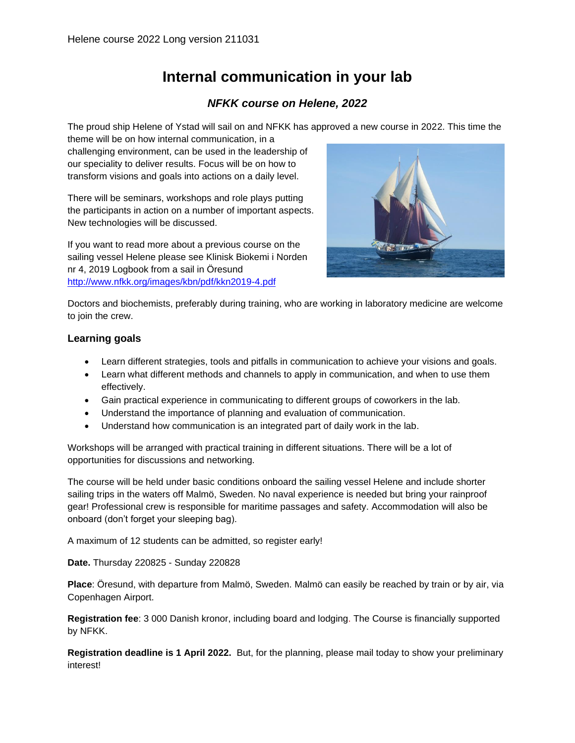# **Internal communication in your lab**

## *NFKK course on Helene, 2022*

The proud ship Helene of Ystad will sail on and NFKK has approved a new course in 2022. This time the

theme will be on how internal communication, in a challenging environment, can be used in the leadership of our speciality to deliver results. Focus will be on how to transform visions and goals into actions on a daily level.

There will be seminars, workshops and role plays putting the participants in action on a number of important aspects. New technologies will be discussed.

If you want to read more about a previous course on the sailing vessel Helene please see Klinisk Biokemi i Norden nr 4, 2019 [Logbook from a sail in Öresund](http://kbn.nfkk.org/kbn_2019_4/#12) <http://www.nfkk.org/images/kbn/pdf/kkn2019-4.pdf>



Doctors and biochemists, preferably during training, who are working in laboratory medicine are welcome to join the crew.

#### **Learning goals**

- Learn different strategies, tools and pitfalls in communication to achieve your visions and goals.
- Learn what different methods and channels to apply in communication, and when to use them effectively.
- Gain practical experience in communicating to different groups of coworkers in the lab.
- Understand the importance of planning and evaluation of communication.
- Understand how communication is an integrated part of daily work in the lab.

Workshops will be arranged with practical training in different situations. There will be a lot of opportunities for discussions and networking.

The course will be held under basic conditions onboard the sailing vessel Helene and include shorter sailing trips in the waters off Malmö, Sweden. No naval experience is needed but bring your rainproof gear! Professional crew is responsible for maritime passages and safety. Accommodation will also be onboard (don't forget your sleeping bag).

A maximum of 12 students can be admitted, so register early!

**Date.** Thursday 220825 - Sunday 220828

**Place**: Öresund, with departure from Malmö, Sweden. Malmö can easily be reached by train or by air, via Copenhagen Airport.

**Registration fee**: 3 000 Danish kronor, including board and lodging. The Course is financially supported by NFKK.

**Registration deadline is 1 April 2022.** But, for the planning, please mail today to show your preliminary interest!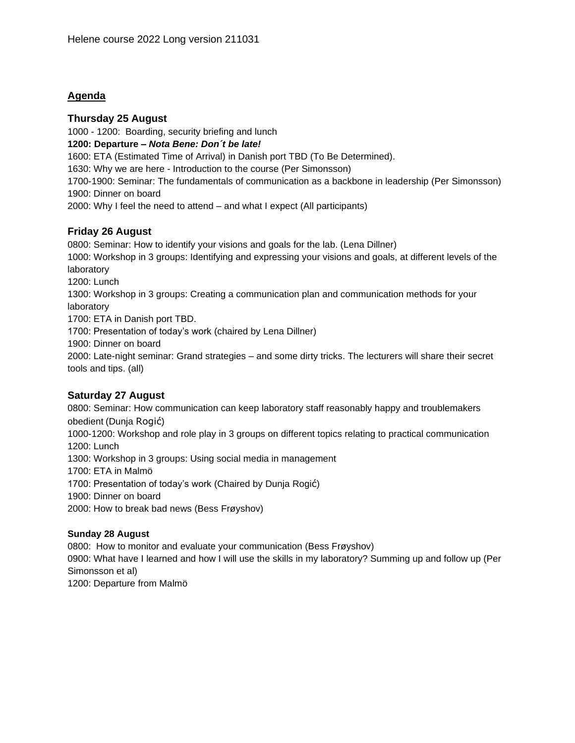#### **Agenda**

#### **Thursday 25 August**

1000 - 1200: Boarding, security briefing and lunch **1200: Departure –** *Nota Bene: Don´t be late!* 1600: ETA (Estimated Time of Arrival) in Danish port TBD (To Be Determined). 1630: Why we are here - Introduction to the course (Per Simonsson) 1700-1900: Seminar: The fundamentals of communication as a backbone in leadership (Per Simonsson) 1900: Dinner on board 2000: Why I feel the need to attend – and what I expect (All participants)

#### **Friday 26 August**

0800: Seminar: How to identify your visions and goals for the lab. (Lena Dillner) 1000: Workshop in 3 groups: Identifying and expressing your visions and goals, at different levels of the laboratory 1200: Lunch 1300: Workshop in 3 groups: Creating a communication plan and communication methods for your laboratory 1700: ETA in Danish port TBD. 1700: Presentation of today's work (chaired by Lena Dillner) 1900: Dinner on board 2000: Late-night seminar: Grand strategies – and some dirty tricks. The lecturers will share their secret tools and tips. (all)

### **Saturday 27 August**

0800: Seminar: How communication can keep laboratory staff reasonably happy and troublemakers obedient (Dunja Rogić) 1000-1200: Workshop and role play in 3 groups on different topics relating to practical communication 1200: Lunch 1300: Workshop in 3 groups: Using social media in management 1700: ETA in Malmö 1700: Presentation of today's work (Chaired by Dunja Rogić) 1900: Dinner on board 2000: How to break bad news (Bess Frøyshov)

#### **Sunday 28 August**

0800: How to monitor and evaluate your communication (Bess Frøyshov) 0900: What have I learned and how I will use the skills in my laboratory? Summing up and follow up (Per Simonsson et al) 1200: Departure from Malmö